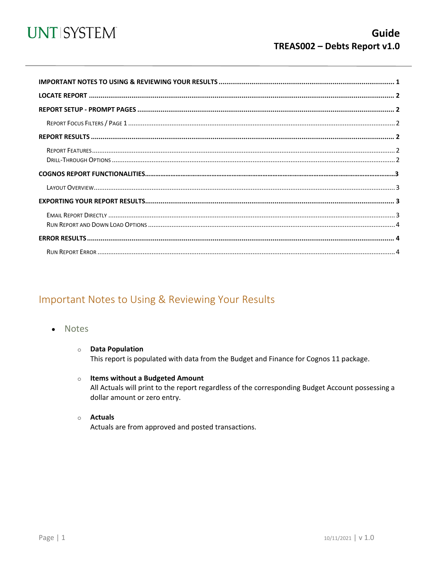

<span id="page-0-0"></span>

### Important Notes to Using & Reviewing Your Results

- **Notes**  $\bullet$ 
	- **O** Data Population This report is populated with data from the Budget and Finance for Cognos 11 package.
	- o Items without a Budgeted Amount All Actuals will print to the report regardless of the corresponding Budget Account possessing a dollar amount or zero entry.
	- o Actuals Actuals are from approved and posted transactions.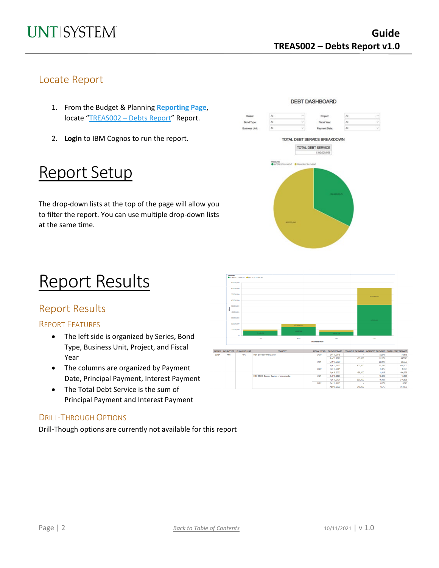### Locate Report

- 1. From the Budget & Planning **[Reporting Page](https://finance.untsystem.edu/reporting)**, locate "TREAS002 - [Debts Report"](https://cognospd.admin.unt.edu/bi/?pathRef=.public_folders%2FBudget%2Band%2BFinance%2BBasic%2BReports%2FTreasury%2FTRS002%2B-%2BDebt%2BReport) Report.
- 2. **Login** to IBM Cognos to run the report.

## Report Setup

The drop-down lists at the top of the page will allow you to filter the report. You can use multiple drop-down lists at the same time.

## Report Results

### Report Results

#### REPORT FEATURES

- The left side is organized by Series, Bond Type, Business Unit, Project, and Fiscal Year
- The columns are organized by Payment Date, Principal Payment, Interest Payment
- The Total Debt Service is the sum of Principal Payment and Interest Payment

#### DRILL-THROUGH OPTIONS

Drill-Though options are currently not available for this report





| ERIES | <b>BOND TYPE</b> | <b>BUSINESS UNIT</b> | <b>PROJECT</b>                         | <b>FISCAL YEAR</b> | <b>PAYMENT DATE</b> | PRINCIPLE PAYMENT | <b>INTEREST PAYMENT</b> | <b>TOTAL DEBT SERVICE</b> |
|-------|------------------|----------------------|----------------------------------------|--------------------|---------------------|-------------------|-------------------------|---------------------------|
| 2012A | <b>RFS</b>       | <b>HSC</b>           | <b>HSC Biohealth Renovation</b>        | 2020               | Oct 15, 2019        |                   | 32.575                  | 32,575                    |
|       |                  |                      |                                        |                    | Apr 15, 2020        | 415,000           | 32,575                  | 447,575                   |
|       |                  |                      |                                        | 2021               | Oct 15, 2020        |                   | 22.200                  | 22.200                    |
|       |                  |                      |                                        |                    | Apr 15, 2021        | 435,000           | 22.200                  | 457,200                   |
|       |                  |                      |                                        | 2022               | Oct 15, 2021        |                   | 11,325                  | 11,325                    |
|       |                  |                      |                                        |                    | Apr 15, 2022        | 455,000           | 11,325                  | 466,325                   |
|       |                  |                      | HSC ESCO (Energy Savings Improvements) | 2021               | Oct 15, 2020        |                   | 16,825                  | 16,825                    |
|       |                  |                      | 2022                                   |                    | Apr 15, 2021        | 330,000           | 16,825                  | 346,825                   |
|       |                  |                      |                                        |                    | Oct 15, 2021        |                   | 8,575                   | 8,575                     |
|       |                  |                      |                                        |                    | Apr 15, 2022        | 345,000           | 8,575                   | 353,575                   |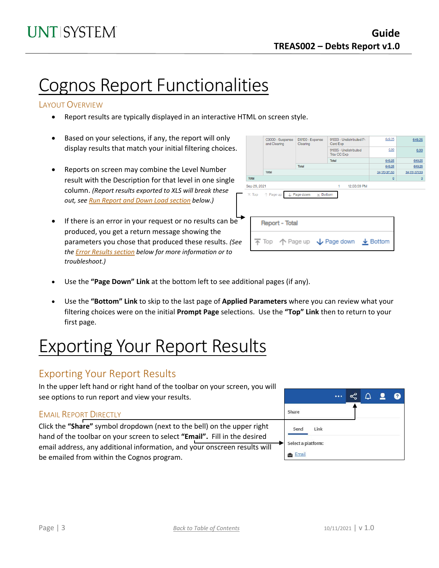## Cognos Report Functionalities

#### LAYOUT OVERVIEW

- Report results are typically displayed in an interactive HTML on screen style.
- Based on your selections, if any, the report will only display results that match your initial filtering choices.
- Reports on screen may combine the Level Number result with the Description for that level in one single column. *(Report results exported to XLS will break these out, see Run Report and Down Load section below.)*
- If there is an error in your request or no results can be produced, you get a return message showing the parameters you chose that produced these results. *(See th[e Error Results section](#page-3-0) below for more information or to troubleshoot.)*

|  |                                   | C9000 - Suspense<br>and Clearing | D9100 - Expense<br>Clearing          | 91003 - Undistributed P-<br>Card Exp | 649.25        | 649.25         |  |  |  |  |
|--|-----------------------------------|----------------------------------|--------------------------------------|--------------------------------------|---------------|----------------|--|--|--|--|
|  |                                   |                                  |                                      | 91005 - Undistributed<br>Trav CC Exp | 0.00          | 0.00           |  |  |  |  |
|  |                                   |                                  |                                      | Total                                | 649.25        | 649.25         |  |  |  |  |
|  |                                   |                                  | Total                                |                                      | 649.25        | 649.25         |  |  |  |  |
|  |                                   | Total                            |                                      |                                      | 34,170,371.53 | 34,170,371.53  |  |  |  |  |
|  | Total                             |                                  |                                      |                                      | $\Omega$      | $\overline{0}$ |  |  |  |  |
|  | Sep 29, 2021<br>12:03:59 PM<br>1. |                                  |                                      |                                      |               |                |  |  |  |  |
|  | $\overline{\wedge}$ Top           | $\uparrow$ Page up               | ↓ Page down<br>$\times$ Bottom       |                                      |               |                |  |  |  |  |
|  | <b>Report - Total</b>             |                                  |                                      |                                      |               |                |  |  |  |  |
|  |                                   |                                  | 不 Top 个 Page up ↓ Page down ↓ Bottom |                                      |               |                |  |  |  |  |
|  |                                   |                                  |                                      |                                      |               |                |  |  |  |  |

- Use the **"Page Down" Link** at the bottom left to see additional pages (if any).
- Use the **"Bottom" Link** to skip to the last page of **Applied Parameters** where you can review what your filtering choices were on the initial **Prompt Page** selections. Use the **"Top" Link** then to return to your first page.

## Exporting Your Report Results

### Exporting Your Report Results

In the upper left hand or right hand of the toolbar on your screen, you will see options to run report and view your results.

#### ఢి Δ Q Share EMAIL REPORT DIRECTLY Click the **"Share"** symbol dropdown (next to the bell) on the upper right Send Link hand of the toolbar on your screen to select **"Email".** Fill in the desired Select a platform: email address, any additional information, and your onscreen results will **Email** be emailed from within the Cognos program.